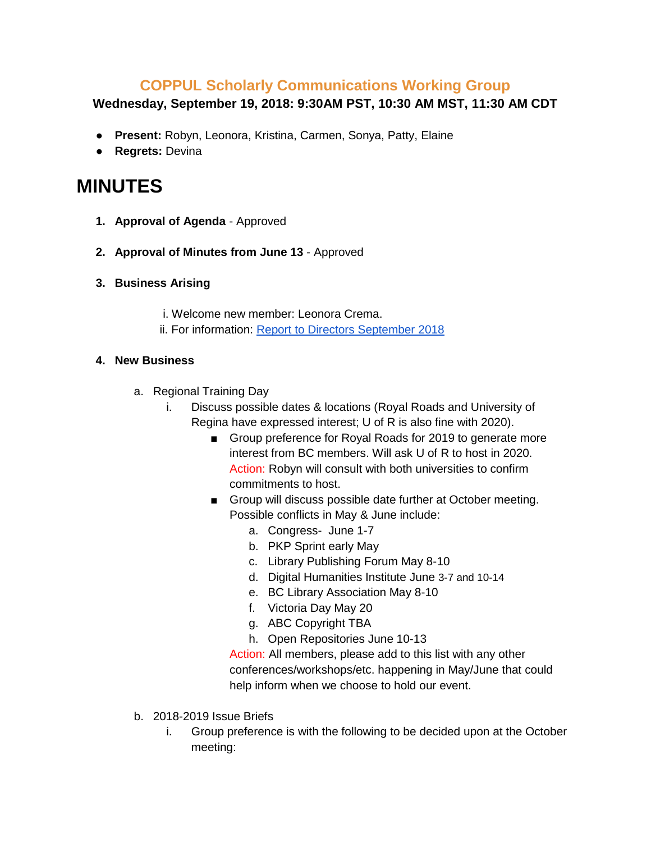## **COPPUL Scholarly Communications Working Group**

## **Wednesday, September 19, 2018: 9:30AM PST, 10:30 AM MST, 11:30 AM CDT**

- **Present:** Robyn, Leonora, Kristina, Carmen, Sonya, Patty, Elaine
- **Regrets:** Devina

## **MINUTES**

- **1. Approval of Agenda** Approved
- **2. Approval of Minutes from June 13**  Approved
- **3. Business Arising**
	- i. Welcome new member: Leonora Crema.
	- ii. For information: [Report to Directors September 2018](https://coppulscwg.files.wordpress.com/2018/09/cscwg-report-to-directors-fall-2018.pdf)

## **4. New Business**

- a. Regional Training Day
	- i. Discuss possible dates & locations (Royal Roads and University of Regina have expressed interest; U of R is also fine with 2020).
		- Group preference for Royal Roads for 2019 to generate more interest from BC members. Will ask U of R to host in 2020. Action: Robyn will consult with both universities to confirm commitments to host.
		- Group will discuss possible date further at October meeting. Possible conflicts in May & June include:
			- a. Congress- June 1-7
			- b. PKP Sprint early May
			- c. Library Publishing Forum May 8-10
			- d. Digital Humanities Institute June 3-7 and 10-14
			- e. BC Library Association May 8-10
			- f. Victoria Day May 20
			- g. ABC Copyright TBA
			- h. Open Repositories June 10-13

Action: All members, please add to this list with any other conferences/workshops/etc. happening in May/June that could help inform when we choose to hold our event.

- b. 2018-2019 Issue Briefs
	- i. Group preference is with the following to be decided upon at the October meeting: